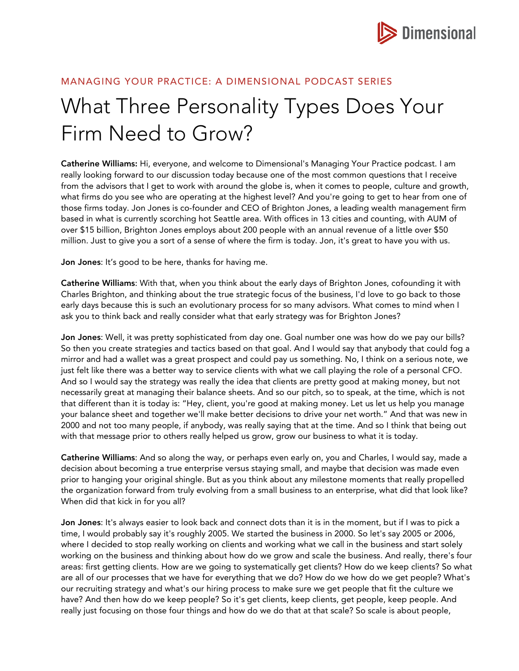

# MANAGING YOUR PRACTICE: A DIMENSIONAL PODCAST SERIES

# What Three Personality Types Does Your Firm Need to Grow?

Catherine Williams: Hi, everyone, and welcome to Dimensional's Managing Your Practice podcast. I am really looking forward to our discussion today because one of the most common questions that I receive from the advisors that I get to work with around the globe is, when it comes to people, culture and growth, what firms do you see who are operating at the highest level? And you're going to get to hear from one of those firms today. Jon Jones is co-founder and CEO of Brighton Jones, a leading wealth management firm based in what is currently scorching hot Seattle area. With offices in 13 cities and counting, with AUM of over \$15 billion, Brighton Jones employs about 200 people with an annual revenue of a little over \$50 million. Just to give you a sort of a sense of where the firm is today. Jon, it's great to have you with us.

Jon Jones: It's good to be here, thanks for having me.

Catherine Williams: With that, when you think about the early days of Brighton Jones, cofounding it with Charles Brighton, and thinking about the true strategic focus of the business, I'd love to go back to those early days because this is such an evolutionary process for so many advisors. What comes to mind when I ask you to think back and really consider what that early strategy was for Brighton Jones?

Jon Jones: Well, it was pretty sophisticated from day one. Goal number one was how do we pay our bills? So then you create strategies and tactics based on that goal. And I would say that anybody that could fog a mirror and had a wallet was a great prospect and could pay us something. No, I think on a serious note, we just felt like there was a better way to service clients with what we call playing the role of a personal CFO. And so I would say the strategy was really the idea that clients are pretty good at making money, but not necessarily great at managing their balance sheets. And so our pitch, so to speak, at the time, which is not that different than it is today is: "Hey, client, you're good at making money. Let us let us help you manage your balance sheet and together we'll make better decisions to drive your net worth." And that was new in 2000 and not too many people, if anybody, was really saying that at the time. And so I think that being out with that message prior to others really helped us grow, grow our business to what it is today.

Catherine Williams: And so along the way, or perhaps even early on, you and Charles, I would say, made a decision about becoming a true enterprise versus staying small, and maybe that decision was made even prior to hanging your original shingle. But as you think about any milestone moments that really propelled the organization forward from truly evolving from a small business to an enterprise, what did that look like? When did that kick in for you all?

Jon Jones: It's always easier to look back and connect dots than it is in the moment, but if I was to pick a time, I would probably say it's roughly 2005. We started the business in 2000. So let's say 2005 or 2006, where I decided to stop really working on clients and working what we call in the business and start solely working on the business and thinking about how do we grow and scale the business. And really, there's four areas: first getting clients. How are we going to systematically get clients? How do we keep clients? So what are all of our processes that we have for everything that we do? How do we how do we get people? What's our recruiting strategy and what's our hiring process to make sure we get people that fit the culture we have? And then how do we keep people? So it's get clients, keep clients, get people, keep people. And really just focusing on those four things and how do we do that at that scale? So scale is about people,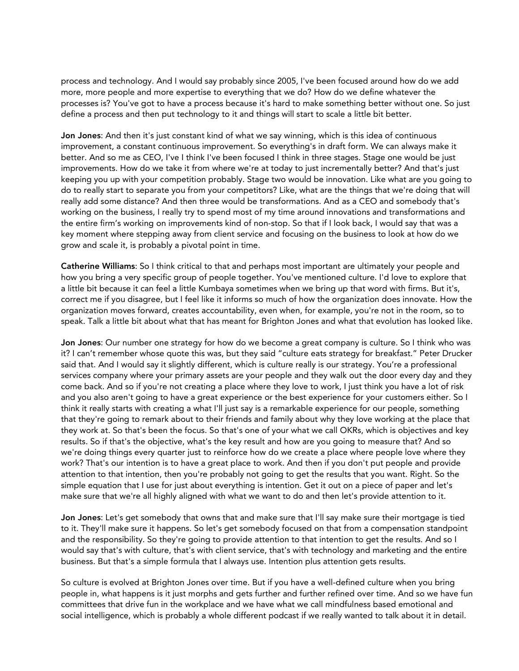process and technology. And I would say probably since 2005, I've been focused around how do we add more, more people and more expertise to everything that we do? How do we define whatever the processes is? You've got to have a process because it's hard to make something better without one. So just define a process and then put technology to it and things will start to scale a little bit better.

Jon Jones: And then it's just constant kind of what we say winning, which is this idea of continuous improvement, a constant continuous improvement. So everything's in draft form. We can always make it better. And so me as CEO, I've I think I've been focused I think in three stages. Stage one would be just improvements. How do we take it from where we're at today to just incrementally better? And that's just keeping you up with your competition probably. Stage two would be innovation. Like what are you going to do to really start to separate you from your competitors? Like, what are the things that we're doing that will really add some distance? And then three would be transformations. And as a CEO and somebody that's working on the business, I really try to spend most of my time around innovations and transformations and the entire firm's working on improvements kind of non-stop. So that if I look back, I would say that was a key moment where stepping away from client service and focusing on the business to look at how do we grow and scale it, is probably a pivotal point in time.

Catherine Williams: So I think critical to that and perhaps most important are ultimately your people and how you bring a very specific group of people together. You've mentioned culture. I'd love to explore that a little bit because it can feel a little Kumbaya sometimes when we bring up that word with firms. But it's, correct me if you disagree, but I feel like it informs so much of how the organization does innovate. How the organization moves forward, creates accountability, even when, for example, you're not in the room, so to speak. Talk a little bit about what that has meant for Brighton Jones and what that evolution has looked like.

Jon Jones: Our number one strategy for how do we become a great company is culture. So I think who was it? I can't remember whose quote this was, but they said "culture eats strategy for breakfast." Peter Drucker said that. And I would say it slightly different, which is culture really is our strategy. You're a professional services company where your primary assets are your people and they walk out the door every day and they come back. And so if you're not creating a place where they love to work, I just think you have a lot of risk and you also aren't going to have a great experience or the best experience for your customers either. So I think it really starts with creating a what I'll just say is a remarkable experience for our people, something that they're going to remark about to their friends and family about why they love working at the place that they work at. So that's been the focus. So that's one of your what we call OKRs, which is objectives and key results. So if that's the objective, what's the key result and how are you going to measure that? And so we're doing things every quarter just to reinforce how do we create a place where people love where they work? That's our intention is to have a great place to work. And then if you don't put people and provide attention to that intention, then you're probably not going to get the results that you want. Right. So the simple equation that I use for just about everything is intention. Get it out on a piece of paper and let's make sure that we're all highly aligned with what we want to do and then let's provide attention to it.

Jon Jones: Let's get somebody that owns that and make sure that I'll say make sure their mortgage is tied to it. They'll make sure it happens. So let's get somebody focused on that from a compensation standpoint and the responsibility. So they're going to provide attention to that intention to get the results. And so I would say that's with culture, that's with client service, that's with technology and marketing and the entire business. But that's a simple formula that I always use. Intention plus attention gets results.

So culture is evolved at Brighton Jones over time. But if you have a well-defined culture when you bring people in, what happens is it just morphs and gets further and further refined over time. And so we have fun committees that drive fun in the workplace and we have what we call mindfulness based emotional and social intelligence, which is probably a whole different podcast if we really wanted to talk about it in detail.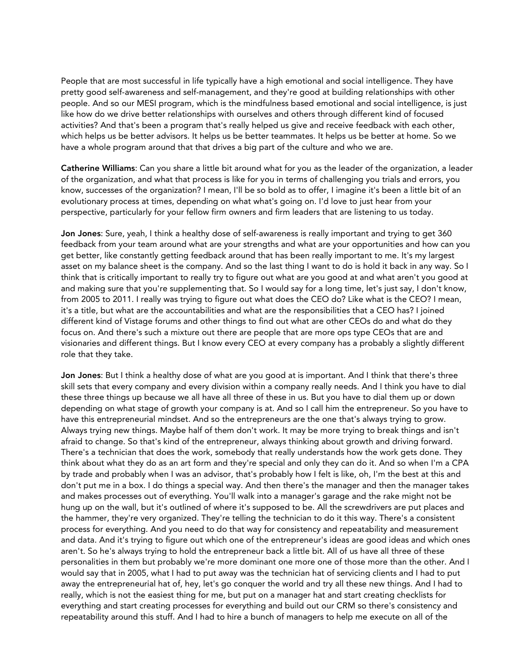People that are most successful in life typically have a high emotional and social intelligence. They have pretty good self-awareness and self-management, and they're good at building relationships with other people. And so our MESI program, which is the mindfulness based emotional and social intelligence, is just like how do we drive better relationships with ourselves and others through different kind of focused activities? And that's been a program that's really helped us give and receive feedback with each other, which helps us be better advisors. It helps us be better teammates. It helps us be better at home. So we have a whole program around that that drives a big part of the culture and who we are.

Catherine Williams: Can you share a little bit around what for you as the leader of the organization, a leader of the organization, and what that process is like for you in terms of challenging you trials and errors, you know, successes of the organization? I mean, I'll be so bold as to offer, I imagine it's been a little bit of an evolutionary process at times, depending on what what's going on. I'd love to just hear from your perspective, particularly for your fellow firm owners and firm leaders that are listening to us today.

Jon Jones: Sure, yeah, I think a healthy dose of self-awareness is really important and trying to get 360 feedback from your team around what are your strengths and what are your opportunities and how can you get better, like constantly getting feedback around that has been really important to me. It's my largest asset on my balance sheet is the company. And so the last thing I want to do is hold it back in any way. So I think that is critically important to really try to figure out what are you good at and what aren't you good at and making sure that you're supplementing that. So I would say for a long time, let's just say, I don't know, from 2005 to 2011. I really was trying to figure out what does the CEO do? Like what is the CEO? I mean, it's a title, but what are the accountabilities and what are the responsibilities that a CEO has? I joined different kind of Vistage forums and other things to find out what are other CEOs do and what do they focus on. And there's such a mixture out there are people that are more ops type CEOs that are and visionaries and different things. But I know every CEO at every company has a probably a slightly different role that they take.

Jon Jones: But I think a healthy dose of what are you good at is important. And I think that there's three skill sets that every company and every division within a company really needs. And I think you have to dial these three things up because we all have all three of these in us. But you have to dial them up or down depending on what stage of growth your company is at. And so I call him the entrepreneur. So you have to have this entrepreneurial mindset. And so the entrepreneurs are the one that's always trying to grow. Always trying new things. Maybe half of them don't work. It may be more trying to break things and isn't afraid to change. So that's kind of the entrepreneur, always thinking about growth and driving forward. There's a technician that does the work, somebody that really understands how the work gets done. They think about what they do as an art form and they're special and only they can do it. And so when I'm a CPA by trade and probably when I was an advisor, that's probably how I felt is like, oh, I'm the best at this and don't put me in a box. I do things a special way. And then there's the manager and then the manager takes and makes processes out of everything. You'll walk into a manager's garage and the rake might not be hung up on the wall, but it's outlined of where it's supposed to be. All the screwdrivers are put places and the hammer, they're very organized. They're telling the technician to do it this way. There's a consistent process for everything. And you need to do that way for consistency and repeatability and measurement and data. And it's trying to figure out which one of the entrepreneur's ideas are good ideas and which ones aren't. So he's always trying to hold the entrepreneur back a little bit. All of us have all three of these personalities in them but probably we're more dominant one more one of those more than the other. And I would say that in 2005, what I had to put away was the technician hat of servicing clients and I had to put away the entrepreneurial hat of, hey, let's go conquer the world and try all these new things. And I had to really, which is not the easiest thing for me, but put on a manager hat and start creating checklists for everything and start creating processes for everything and build out our CRM so there's consistency and repeatability around this stuff. And I had to hire a bunch of managers to help me execute on all of the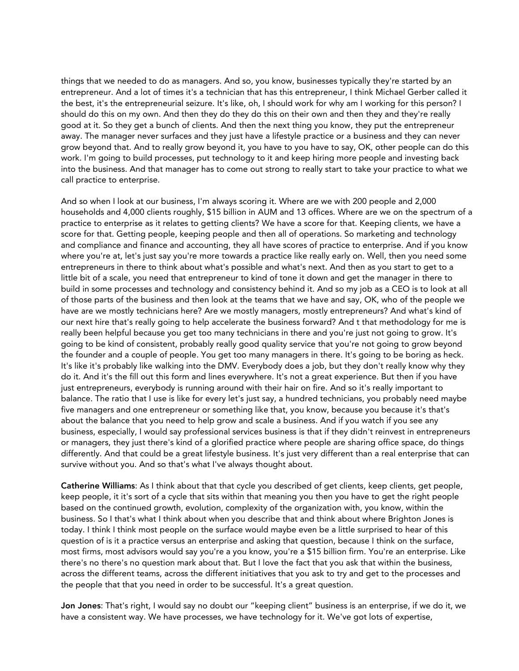things that we needed to do as managers. And so, you know, businesses typically they're started by an entrepreneur. And a lot of times it's a technician that has this entrepreneur, I think Michael Gerber called it the best, it's the entrepreneurial seizure. It's like, oh, I should work for why am I working for this person? I should do this on my own. And then they do they do this on their own and then they and they're really good at it. So they get a bunch of clients. And then the next thing you know, they put the entrepreneur away. The manager never surfaces and they just have a lifestyle practice or a business and they can never grow beyond that. And to really grow beyond it, you have to you have to say, OK, other people can do this work. I'm going to build processes, put technology to it and keep hiring more people and investing back into the business. And that manager has to come out strong to really start to take your practice to what we call practice to enterprise.

And so when I look at our business, I'm always scoring it. Where are we with 200 people and 2,000 households and 4,000 clients roughly, \$15 billion in AUM and 13 offices. Where are we on the spectrum of a practice to enterprise as it relates to getting clients? We have a score for that. Keeping clients, we have a score for that. Getting people, keeping people and then all of operations. So marketing and technology and compliance and finance and accounting, they all have scores of practice to enterprise. And if you know where you're at, let's just say you're more towards a practice like really early on. Well, then you need some entrepreneurs in there to think about what's possible and what's next. And then as you start to get to a little bit of a scale, you need that entrepreneur to kind of tone it down and get the manager in there to build in some processes and technology and consistency behind it. And so my job as a CEO is to look at all of those parts of the business and then look at the teams that we have and say, OK, who of the people we have are we mostly technicians here? Are we mostly managers, mostly entrepreneurs? And what's kind of our next hire that's really going to help accelerate the business forward? And t that methodology for me is really been helpful because you get too many technicians in there and you're just not going to grow. It's going to be kind of consistent, probably really good quality service that you're not going to grow beyond the founder and a couple of people. You get too many managers in there. It's going to be boring as heck. It's like it's probably like walking into the DMV. Everybody does a job, but they don't really know why they do it. And it's the fill out this form and lines everywhere. It's not a great experience. But then if you have just entrepreneurs, everybody is running around with their hair on fire. And so it's really important to balance. The ratio that I use is like for every let's just say, a hundred technicians, you probably need maybe five managers and one entrepreneur or something like that, you know, because you because it's that's about the balance that you need to help grow and scale a business. And if you watch if you see any business, especially, I would say professional services business is that if they didn't reinvest in entrepreneurs or managers, they just there's kind of a glorified practice where people are sharing office space, do things differently. And that could be a great lifestyle business. It's just very different than a real enterprise that can survive without you. And so that's what I've always thought about.

Catherine Williams: As I think about that that cycle you described of get clients, keep clients, get people, keep people, it it's sort of a cycle that sits within that meaning you then you have to get the right people based on the continued growth, evolution, complexity of the organization with, you know, within the business. So I that's what I think about when you describe that and think about where Brighton Jones is today. I think I think most people on the surface would maybe even be a little surprised to hear of this question of is it a practice versus an enterprise and asking that question, because I think on the surface, most firms, most advisors would say you're a you know, you're a \$15 billion firm. You're an enterprise. Like there's no there's no question mark about that. But I love the fact that you ask that within the business, across the different teams, across the different initiatives that you ask to try and get to the processes and the people that that you need in order to be successful. It's a great question.

Jon Jones: That's right, I would say no doubt our "keeping client" business is an enterprise, if we do it, we have a consistent way. We have processes, we have technology for it. We've got lots of expertise,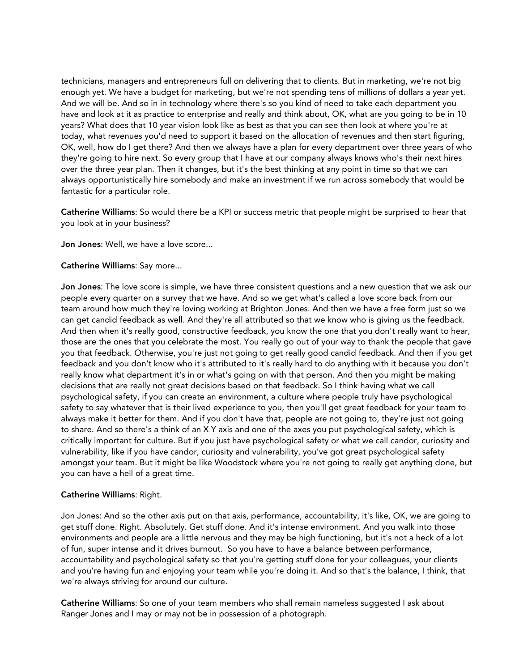technicians, managers and entrepreneurs full on delivering that to clients. But in marketing, we're not big enough yet. We have a budget for marketing, but we're not spending tens of millions of dollars a year yet. And we will be. And so in in technology where there's so you kind of need to take each department you have and look at it as practice to enterprise and really and think about, OK, what are you going to be in 10 years? What does that 10 year vision look like as best as that you can see then look at where you're at today, what revenues you'd need to support it based on the allocation of revenues and then start figuring, OK, well, how do I get there? And then we always have a plan for every department over three years of who they're going to hire next. So every group that I have at our company always knows who's their next hires over the three year plan. Then it changes, but it's the best thinking at any point in time so that we can always opportunistically hire somebody and make an investment if we run across somebody that would be fantastic for a particular role.

Catherine Williams: So would there be a KPI or success metric that people might be surprised to hear that you look at in your business?

Jon Jones: Well, we have a love score...

### Catherine Williams: Say more...

Jon Jones: The love score is simple, we have three consistent questions and a new question that we ask our people every quarter on a survey that we have. And so we get what's called a love score back from our team around how much they're loving working at Brighton Jones. And then we have a free form just so we can get candid feedback as well. And they're all attributed so that we know who is giving us the feedback. And then when it's really good, constructive feedback, you know the one that you don't really want to hear, those are the ones that you celebrate the most. You really go out of your way to thank the people that gave you that feedback. Otherwise, you're just not going to get really good candid feedback. And then if you get feedback and you don't know who it's attributed to it's really hard to do anything with it because you don't really know what department it's in or what's going on with that person. And then you might be making decisions that are really not great decisions based on that feedback. So I think having what we call psychological safety, if you can create an environment, a culture where people truly have psychological safety to say whatever that is their lived experience to you, then you'll get great feedback for your team to always make it better for them. And if you don't have that, people are not going to, they're just not going to share. And so there's a think of an X Y axis and one of the axes you put psychological safety, which is critically important for culture. But if you just have psychological safety or what we call candor, curiosity and vulnerability, like if you have candor, curiosity and vulnerability, you've got great psychological safety amongst your team. But it might be like Woodstock where you're not going to really get anything done, but you can have a hell of a great time.

## Catherine Williams: Right.

Jon Jones: And so the other axis put on that axis, performance, accountability, it's like, OK, we are going to get stuff done. Right. Absolutely. Get stuff done. And it's intense environment. And you walk into those environments and people are a little nervous and they may be high functioning, but it's not a heck of a lot of fun, super intense and it drives burnout. So you have to have a balance between performance, accountability and psychological safety so that you're getting stuff done for your colleagues, your clients and you're having fun and enjoying your team while you're doing it. And so that's the balance, I think, that we're always striving for around our culture.

Catherine Williams: So one of your team members who shall remain nameless suggested I ask about Ranger Jones and I may or may not be in possession of a photograph.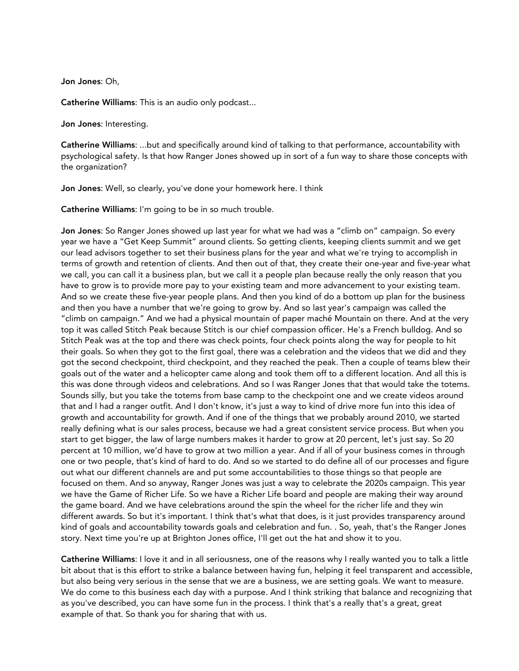Jon Jones: Oh,

Catherine Williams: This is an audio only podcast...

Jon Jones: Interesting.

Catherine Williams: ...but and specifically around kind of talking to that performance, accountability with psychological safety. Is that how Ranger Jones showed up in sort of a fun way to share those concepts with the organization?

Jon Jones: Well, so clearly, you've done your homework here. I think

Catherine Williams: I'm going to be in so much trouble.

Jon Jones: So Ranger Jones showed up last year for what we had was a "climb on" campaign. So every year we have a "Get Keep Summit" around clients. So getting clients, keeping clients summit and we get our lead advisors together to set their business plans for the year and what we're trying to accomplish in terms of growth and retention of clients. And then out of that, they create their one-year and five-year what we call, you can call it a business plan, but we call it a people plan because really the only reason that you have to grow is to provide more pay to your existing team and more advancement to your existing team. And so we create these five-year people plans. And then you kind of do a bottom up plan for the business and then you have a number that we're going to grow by. And so last year's campaign was called the "climb on campaign." And we had a physical mountain of paper maché Mountain on there. And at the very top it was called Stitch Peak because Stitch is our chief compassion officer. He's a French bulldog. And so Stitch Peak was at the top and there was check points, four check points along the way for people to hit their goals. So when they got to the first goal, there was a celebration and the videos that we did and they got the second checkpoint, third checkpoint, and they reached the peak. Then a couple of teams blew their goals out of the water and a helicopter came along and took them off to a different location. And all this is this was done through videos and celebrations. And so I was Ranger Jones that that would take the totems. Sounds silly, but you take the totems from base camp to the checkpoint one and we create videos around that and I had a ranger outfit. And I don't know, it's just a way to kind of drive more fun into this idea of growth and accountability for growth. And if one of the things that we probably around 2010, we started really defining what is our sales process, because we had a great consistent service process. But when you start to get bigger, the law of large numbers makes it harder to grow at 20 percent, let's just say. So 20 percent at 10 million, we'd have to grow at two million a year. And if all of your business comes in through one or two people, that's kind of hard to do. And so we started to do define all of our processes and figure out what our different channels are and put some accountabilities to those things so that people are focused on them. And so anyway, Ranger Jones was just a way to celebrate the 2020s campaign. This year we have the Game of Richer Life. So we have a Richer Life board and people are making their way around the game board. And we have celebrations around the spin the wheel for the richer life and they win different awards. So but it's important. I think that's what that does, is it just provides transparency around kind of goals and accountability towards goals and celebration and fun. . So, yeah, that's the Ranger Jones story. Next time you're up at Brighton Jones office, I'll get out the hat and show it to you.

Catherine Williams: I love it and in all seriousness, one of the reasons why I really wanted you to talk a little bit about that is this effort to strike a balance between having fun, helping it feel transparent and accessible, but also being very serious in the sense that we are a business, we are setting goals. We want to measure. We do come to this business each day with a purpose. And I think striking that balance and recognizing that as you've described, you can have some fun in the process. I think that's a really that's a great, great example of that. So thank you for sharing that with us.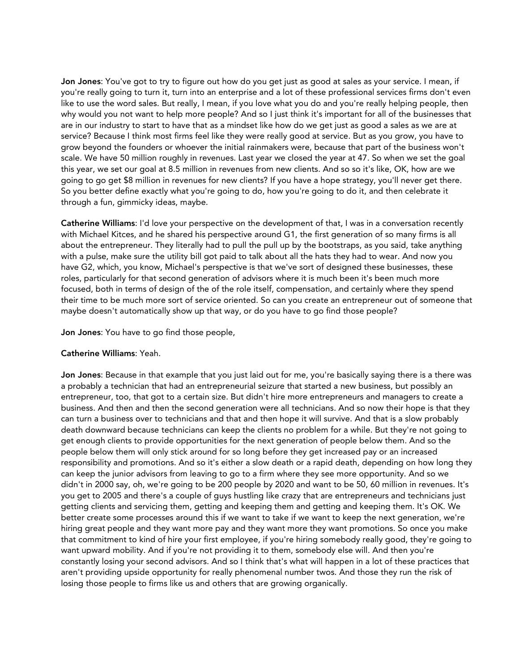Jon Jones: You've got to try to figure out how do you get just as good at sales as your service. I mean, if you're really going to turn it, turn into an enterprise and a lot of these professional services firms don't even like to use the word sales. But really, I mean, if you love what you do and you're really helping people, then why would you not want to help more people? And so I just think it's important for all of the businesses that are in our industry to start to have that as a mindset like how do we get just as good a sales as we are at service? Because I think most firms feel like they were really good at service. But as you grow, you have to grow beyond the founders or whoever the initial rainmakers were, because that part of the business won't scale. We have 50 million roughly in revenues. Last year we closed the year at 47. So when we set the goal this year, we set our goal at 8.5 million in revenues from new clients. And so so it's like, OK, how are we going to go get \$8 million in revenues for new clients? If you have a hope strategy, you'll never get there. So you better define exactly what you're going to do, how you're going to do it, and then celebrate it through a fun, gimmicky ideas, maybe.

Catherine Williams: I'd love your perspective on the development of that, I was in a conversation recently with Michael Kitces, and he shared his perspective around G1, the first generation of so many firms is all about the entrepreneur. They literally had to pull the pull up by the bootstraps, as you said, take anything with a pulse, make sure the utility bill got paid to talk about all the hats they had to wear. And now you have G2, which, you know, Michael's perspective is that we've sort of designed these businesses, these roles, particularly for that second generation of advisors where it is much been it's been much more focused, both in terms of design of the of the role itself, compensation, and certainly where they spend their time to be much more sort of service oriented. So can you create an entrepreneur out of someone that maybe doesn't automatically show up that way, or do you have to go find those people?

Jon Jones: You have to go find those people,

#### Catherine Williams: Yeah.

Jon Jones: Because in that example that you just laid out for me, you're basically saying there is a there was a probably a technician that had an entrepreneurial seizure that started a new business, but possibly an entrepreneur, too, that got to a certain size. But didn't hire more entrepreneurs and managers to create a business. And then and then the second generation were all technicians. And so now their hope is that they can turn a business over to technicians and that and then hope it will survive. And that is a slow probably death downward because technicians can keep the clients no problem for a while. But they're not going to get enough clients to provide opportunities for the next generation of people below them. And so the people below them will only stick around for so long before they get increased pay or an increased responsibility and promotions. And so it's either a slow death or a rapid death, depending on how long they can keep the junior advisors from leaving to go to a firm where they see more opportunity. And so we didn't in 2000 say, oh, we're going to be 200 people by 2020 and want to be 50, 60 million in revenues. It's you get to 2005 and there's a couple of guys hustling like crazy that are entrepreneurs and technicians just getting clients and servicing them, getting and keeping them and getting and keeping them. It's OK. We better create some processes around this if we want to take if we want to keep the next generation, we're hiring great people and they want more pay and they want more they want promotions. So once you make that commitment to kind of hire your first employee, if you're hiring somebody really good, they're going to want upward mobility. And if you're not providing it to them, somebody else will. And then you're constantly losing your second advisors. And so I think that's what will happen in a lot of these practices that aren't providing upside opportunity for really phenomenal number twos. And those they run the risk of losing those people to firms like us and others that are growing organically.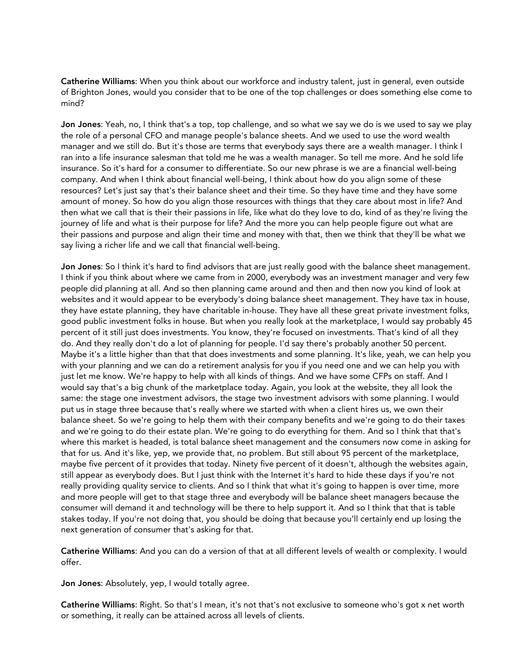Catherine Williams: When you think about our workforce and industry talent, just in general, even outside of Brighton Jones, would you consider that to be one of the top challenges or does something else come to mind?

Jon Jones: Yeah, no, I think that's a top, top challenge, and so what we say we do is we used to say we play the role of a personal CFO and manage people's balance sheets. And we used to use the word wealth manager and we still do. But it's those are terms that everybody says there are a wealth manager. I think I ran into a life insurance salesman that told me he was a wealth manager. So tell me more. And he sold life insurance. So it's hard for a consumer to differentiate. So our new phrase is we are a financial well-being company. And when I think about financial well-being, I think about how do you align some of these resources? Let's just say that's their balance sheet and their time. So they have time and they have some amount of money. So how do you align those resources with things that they care about most in life? And then what we call that is their their passions in life, like what do they love to do, kind of as they're living the journey of life and what is their purpose for life? And the more you can help people figure out what are their passions and purpose and align their time and money with that, then we think that they'll be what we say living a richer life and we call that financial well-being.

Jon Jones: So I think it's hard to find advisors that are just really good with the balance sheet management. I think if you think about where we came from in 2000, everybody was an investment manager and very few people did planning at all. And so then planning came around and then and then now you kind of look at websites and it would appear to be everybody's doing balance sheet management. They have tax in house, they have estate planning, they have charitable in-house. They have all these great private investment folks, good public investment folks in house. But when you really look at the marketplace, I would say probably 45 percent of it still just does investments. You know, they're focused on investments. That's kind of all they do. And they really don't do a lot of planning for people. I'd say there's probably another 50 percent. Maybe it's a little higher than that that does investments and some planning. It's like, yeah, we can help you with your planning and we can do a retirement analysis for you if you need one and we can help you with just let me know. We're happy to help with all kinds of things. And we have some CFPs on staff. And I would say that's a big chunk of the marketplace today. Again, you look at the website, they all look the same: the stage one investment advisors, the stage two investment advisors with some planning. I would put us in stage three because that's really where we started with when a client hires us, we own their balance sheet. So we're going to help them with their company benefits and we're going to do their taxes and we're going to do their estate plan. We're going to do everything for them. And so I think that that's where this market is headed, is total balance sheet management and the consumers now come in asking for that for us. And it's like, yep, we provide that, no problem. But still about 95 percent of the marketplace, maybe five percent of it provides that today. Ninety five percent of it doesn't, although the websites again, still appear as everybody does. But I just think with the Internet it's hard to hide these days if you're not really providing quality service to clients. And so I think that what it's going to happen is over time, more and more people will get to that stage three and everybody will be balance sheet managers because the consumer will demand it and technology will be there to help support it. And so I think that that is table stakes today. If you're not doing that, you should be doing that because you'll certainly end up losing the next generation of consumer that's asking for that.

Catherine Williams: And you can do a version of that at all different levels of wealth or complexity. I would offer.

Jon Jones: Absolutely, yep, I would totally agree.

Catherine Williams: Right. So that's I mean, it's not that's not exclusive to someone who's got x net worth or something, it really can be attained across all levels of clients.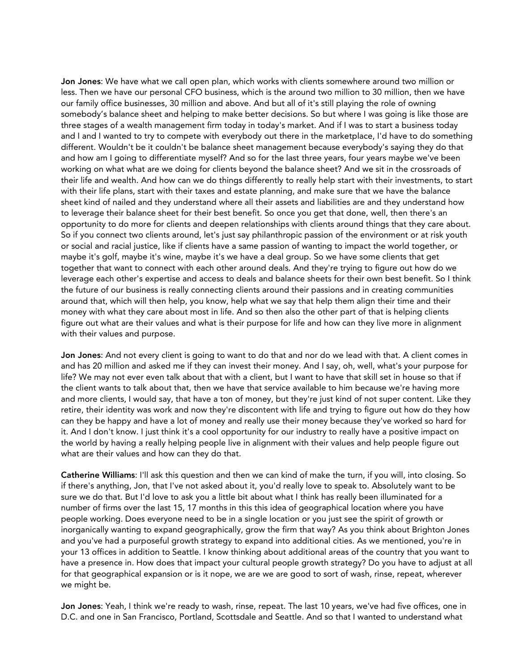Jon Jones: We have what we call open plan, which works with clients somewhere around two million or less. Then we have our personal CFO business, which is the around two million to 30 million, then we have our family office businesses, 30 million and above. And but all of it's still playing the role of owning somebody's balance sheet and helping to make better decisions. So but where I was going is like those are three stages of a wealth management firm today in today's market. And if I was to start a business today and I and I wanted to try to compete with everybody out there in the marketplace, I'd have to do something different. Wouldn't be it couldn't be balance sheet management because everybody's saying they do that and how am I going to differentiate myself? And so for the last three years, four years maybe we've been working on what what are we doing for clients beyond the balance sheet? And we sit in the crossroads of their life and wealth. And how can we do things differently to really help start with their investments, to start with their life plans, start with their taxes and estate planning, and make sure that we have the balance sheet kind of nailed and they understand where all their assets and liabilities are and they understand how to leverage their balance sheet for their best benefit. So once you get that done, well, then there's an opportunity to do more for clients and deepen relationships with clients around things that they care about. So if you connect two clients around, let's just say philanthropic passion of the environment or at risk youth or social and racial justice, like if clients have a same passion of wanting to impact the world together, or maybe it's golf, maybe it's wine, maybe it's we have a deal group. So we have some clients that get together that want to connect with each other around deals. And they're trying to figure out how do we leverage each other's expertise and access to deals and balance sheets for their own best benefit. So I think the future of our business is really connecting clients around their passions and in creating communities around that, which will then help, you know, help what we say that help them align their time and their money with what they care about most in life. And so then also the other part of that is helping clients figure out what are their values and what is their purpose for life and how can they live more in alignment with their values and purpose.

Jon Jones: And not every client is going to want to do that and nor do we lead with that. A client comes in and has 20 million and asked me if they can invest their money. And I say, oh, well, what's your purpose for life? We may not ever even talk about that with a client, but I want to have that skill set in house so that if the client wants to talk about that, then we have that service available to him because we're having more and more clients, I would say, that have a ton of money, but they're just kind of not super content. Like they retire, their identity was work and now they're discontent with life and trying to figure out how do they how can they be happy and have a lot of money and really use their money because they've worked so hard for it. And I don't know. I just think it's a cool opportunity for our industry to really have a positive impact on the world by having a really helping people live in alignment with their values and help people figure out what are their values and how can they do that.

Catherine Williams: I'll ask this question and then we can kind of make the turn, if you will, into closing. So if there's anything, Jon, that I've not asked about it, you'd really love to speak to. Absolutely want to be sure we do that. But I'd love to ask you a little bit about what I think has really been illuminated for a number of firms over the last 15, 17 months in this this idea of geographical location where you have people working. Does everyone need to be in a single location or you just see the spirit of growth or inorganically wanting to expand geographically, grow the firm that way? As you think about Brighton Jones and you've had a purposeful growth strategy to expand into additional cities. As we mentioned, you're in your 13 offices in addition to Seattle. I know thinking about additional areas of the country that you want to have a presence in. How does that impact your cultural people growth strategy? Do you have to adjust at all for that geographical expansion or is it nope, we are we are good to sort of wash, rinse, repeat, wherever we might be.

Jon Jones: Yeah, I think we're ready to wash, rinse, repeat. The last 10 years, we've had five offices, one in D.C. and one in San Francisco, Portland, Scottsdale and Seattle. And so that I wanted to understand what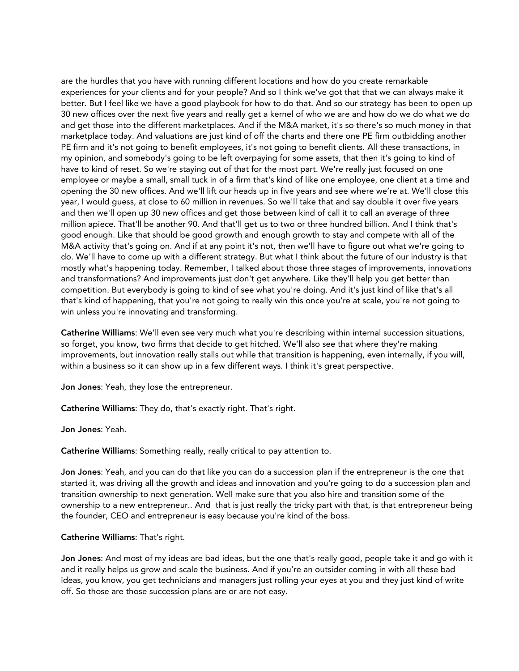are the hurdles that you have with running different locations and how do you create remarkable experiences for your clients and for your people? And so I think we've got that that we can always make it better. But I feel like we have a good playbook for how to do that. And so our strategy has been to open up 30 new offices over the next five years and really get a kernel of who we are and how do we do what we do and get those into the different marketplaces. And if the M&A market, it's so there's so much money in that marketplace today. And valuations are just kind of off the charts and there one PE firm outbidding another PE firm and it's not going to benefit employees, it's not going to benefit clients. All these transactions, in my opinion, and somebody's going to be left overpaying for some assets, that then it's going to kind of have to kind of reset. So we're staying out of that for the most part. We're really just focused on one employee or maybe a small, small tuck in of a firm that's kind of like one employee, one client at a time and opening the 30 new offices. And we'll lift our heads up in five years and see where we're at. We'll close this year, I would guess, at close to 60 million in revenues. So we'll take that and say double it over five years and then we'll open up 30 new offices and get those between kind of call it to call an average of three million apiece. That'll be another 90. And that'll get us to two or three hundred billion. And I think that's good enough. Like that should be good growth and enough growth to stay and compete with all of the M&A activity that's going on. And if at any point it's not, then we'll have to figure out what we're going to do. We'll have to come up with a different strategy. But what I think about the future of our industry is that mostly what's happening today. Remember, I talked about those three stages of improvements, innovations and transformations? And improvements just don't get anywhere. Like they'll help you get better than competition. But everybody is going to kind of see what you're doing. And it's just kind of like that's all that's kind of happening, that you're not going to really win this once you're at scale, you're not going to win unless you're innovating and transforming.

Catherine Williams: We'll even see very much what you're describing within internal succession situations, so forget, you know, two firms that decide to get hitched. We'll also see that where they're making improvements, but innovation really stalls out while that transition is happening, even internally, if you will, within a business so it can show up in a few different ways. I think it's great perspective.

Jon Jones: Yeah, they lose the entrepreneur.

Catherine Williams: They do, that's exactly right. That's right.

Jon Jones: Yeah.

Catherine Williams: Something really, really critical to pay attention to.

Jon Jones: Yeah, and you can do that like you can do a succession plan if the entrepreneur is the one that started it, was driving all the growth and ideas and innovation and you're going to do a succession plan and transition ownership to next generation. Well make sure that you also hire and transition some of the ownership to a new entrepreneur.. And that is just really the tricky part with that, is that entrepreneur being the founder, CEO and entrepreneur is easy because you're kind of the boss.

#### Catherine Williams: That's right.

Jon Jones: And most of my ideas are bad ideas, but the one that's really good, people take it and go with it and it really helps us grow and scale the business. And if you're an outsider coming in with all these bad ideas, you know, you get technicians and managers just rolling your eyes at you and they just kind of write off. So those are those succession plans are or are not easy.